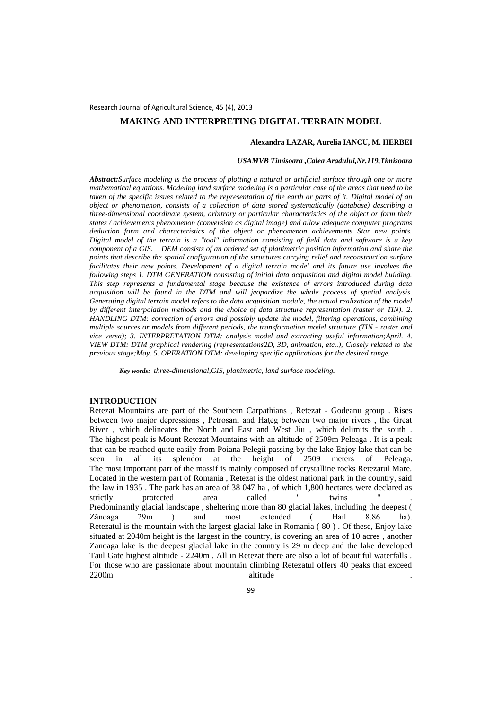# **MAKING AND INTERPRETING DIGITAL TERRAIN MODEL**

### **Alexandra LAZAR, Aurelia IANCU, M. HERBEI**

### *USAMVB Timisoara ,Calea Aradului,Nr.119,Timisoara*

*Abstract:Surface modeling is the process of plotting a natural or artificial surface through one or more mathematical equations. Modeling land surface modeling is a particular case of the areas that need to be taken of the specific issues related to the representation of the earth or parts of it. Digital model of an object or phenomenon, consists of a collection of data stored systematically (database) describing a three-dimensional coordinate system, arbitrary or particular characteristics of the object or form their states / achievements phenomenon (conversion as digital image) and allow adequate computer programs deduction form and characteristics of the object or phenomenon achievements Star new points. Digital model of the terrain is a "tool" information consisting of field data and software is a key component of a GIS. DEM consists of an ordered set of planimetric position information and share the points that describe the spatial configuration of the structures carrying relief and reconstruction surface*  facilitates their new points. Development of a digital terrain model and its future use involves the *following steps 1. DTM GENERATION consisting of initial data acquisition and digital model building. This step represents a fundamental stage because the existence of errors introduced during data acquisition will be found in the DTM and will jeopardize the whole process of spatial analysis. Generating digital terrain model refers to the data acquisition module, the actual realization of the model by different interpolation methods and the choice of data structure representation (raster or TIN). 2. HANDLING DTM: correction of errors and possibly update the model, filtering operations, combining multiple sources or models from different periods, the transformation model structure (TIN - raster and vice versa); 3. INTERPRETATION DTM: analysis model and extracting useful information;April. 4. VIEW DTM: DTM graphical rendering (representations2D, 3D, animation, etc..), Closely related to the previous stage;May. 5. OPERATION DTM: developing specific applications for the desired range.*

*Key words: three-dimensional,GIS, planimetric, land surface modeling.*

### **INTRODUCTION**

Retezat Mountains are part of the Southern Carpathians , Retezat - Godeanu group . Rises between two major depressions, Petrosani and Hateg between two major rivers, the Great River , which delineates the North and East and West Jiu , which delimits the south . The highest peak is Mount Retezat Mountains with an altitude of 2509m Peleaga . It is a peak that can be reached quite easily from Poiana Pelegii passing by the lake Enjoy lake that can be seen in all its splendor at the height of 2509 meters of Peleaga. The most important part of the massif is mainly composed of crystalline rocks Retezatul Mare. Located in the western part of Romania , Retezat is the oldest national park in the country, said the law in 1935 . The park has an area of 38 047 ha , of which 1,800 hectares were declared as strictly protected area called " twins " . Predominantly glacial landscape , sheltering more than 80 glacial lakes, including the deepest ( Zănoaga 29m ) and most extended ( Hail 8.86 ha). Retezatul is the mountain with the largest glacial lake in Romania ( 80 ) . Of these, Enjoy lake situated at 2040m height is the largest in the country, is covering an area of 10 acres , another Zanoaga lake is the deepest glacial lake in the country is 29 m deep and the lake developed Taul Gate highest altitude - 2240m . All in Retezat there are also a lot of beautiful waterfalls . For those who are passionate about mountain climbing Retezatul offers 40 peaks that exceed 2200m altitude to a statuture and the set of the set of the set of the set of the set of the set of the set of the set of the set of the set of the set of the set of the set of the set of the set of the set of the set of t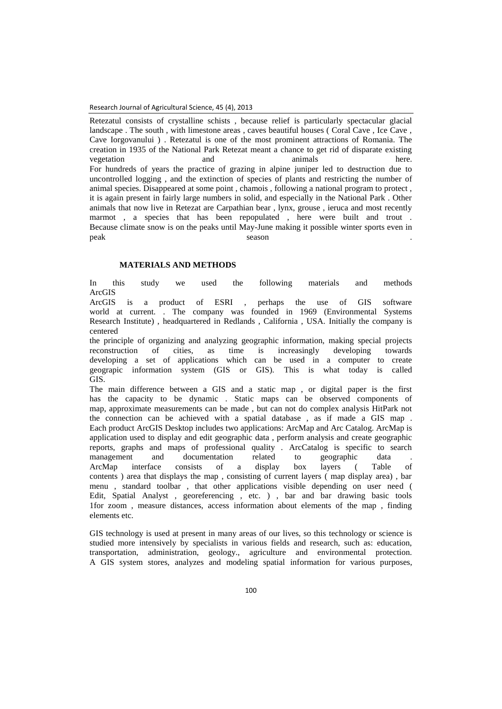Retezatul consists of crystalline schists , because relief is particularly spectacular glacial landscape . The south , with limestone areas , caves beautiful houses ( Coral Cave , Ice Cave , Cave Iorgovanului ) . Retezatul is one of the most prominent attractions of Romania. The creation in 1935 of the National Park Retezat meant a chance to get rid of disparate existing vegetation and animals here. For hundreds of years the practice of grazing in alpine juniper led to destruction due to uncontrolled logging , and the extinction of species of plants and restricting the number of animal species. Disappeared at some point , chamois , following a national program to protect , it is again present in fairly large numbers in solid, and especially in the National Park . Other animals that now live in Retezat are Carpathian bear , lynx, grouse , ieruca and most recently marmot , a species that has been repopulated , here were built and trout . Because climate snow is on the peaks until May-June making it possible winter sports even in peak season .

## **MATERIALS AND METHODS**

In this study we used the following materials and methods ArcGIS

ArcGIS is a product of ESRI , perhaps the use of GIS software world at current. . The company was founded in 1969 (Environmental Systems Research Institute) , headquartered in Redlands , California , USA. Initially the company is centered

the principle of organizing and analyzing geographic information, making special projects reconstruction of cities, as time is increasingly developing towards developing a set of applications which can be used in a computer to create geograpic information system (GIS or GIS). This is what today is called GIS.

The main difference between a GIS and a static map , or digital paper is the first has the capacity to be dynamic . Static maps can be observed components of map, approximate measurements can be made , but can not do complex analysis HitPark not the connection can be achieved with a spatial database , as if made a GIS map . Each product ArcGIS Desktop includes two applications: ArcMap and Arc Catalog. ArcMap is application used to display and edit geographic data , perform analysis and create geographic reports, graphs and maps of professional quality . ArcCatalog is specific to search management and documentation related to geographic data . ArcMap interface consists of a display box layers ( Table of contents ) area that displays the map , consisting of current layers ( map display area) , bar menu , standard toolbar , that other applications visible depending on user need ( Edit, Spatial Analyst , georeferencing , etc. ) , bar and bar drawing basic tools 1for zoom , measure distances, access information about elements of the map , finding elements etc.

GIS technology is used at present in many areas of our lives, so this technology or science is studied more intensively by specialists in various fields and research, such as: education, transportation, administration, geology., agriculture and environmental protection. A GIS system stores, analyzes and modeling spatial information for various purposes,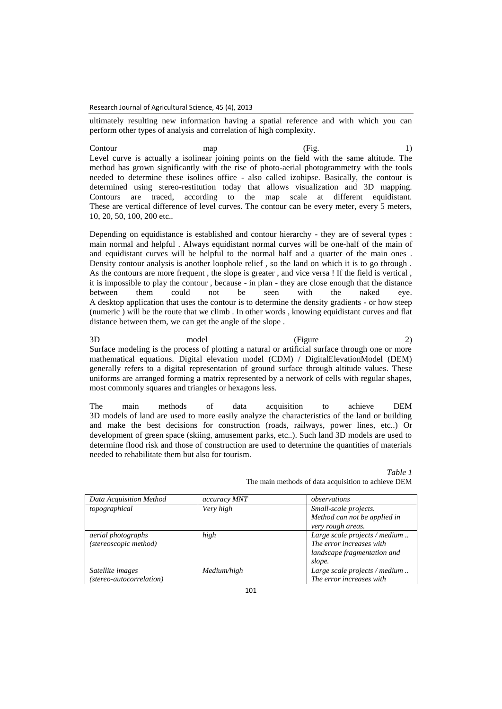ultimately resulting new information having a spatial reference and with which you can perform other types of analysis and correlation of high complexity.

Contour map (Fig. 1) Level curve is actually a isolinear joining points on the field with the same altitude. The method has grown significantly with the rise of photo-aerial photogrammetry with the tools needed to determine these isolines office - also called izohipse. Basically, the contour is determined using stereo-restitution today that allows visualization and 3D mapping. Contours are traced, according to the map scale at different equidistant. These are vertical difference of level curves. The contour can be every meter, every 5 meters, 10, 20, 50, 100, 200 etc..

Depending on equidistance is established and contour hierarchy - they are of several types : main normal and helpful . Always equidistant normal curves will be one-half of the main of and equidistant curves will be helpful to the normal half and a quarter of the main ones . Density contour analysis is another loophole relief , so the land on which it is to go through . As the contours are more frequent , the slope is greater , and vice versa ! If the field is vertical , it is impossible to play the contour , because - in plan - they are close enough that the distance between them could not be seen with the naked eye. A desktop application that uses the contour is to determine the density gradients - or how steep (numeric ) will be the route that we climb . In other words , knowing equidistant curves and flat distance between them, we can get the angle of the slope .

3D model (Figure 2) Surface modeling is the process of plotting a natural or artificial surface through one or more mathematical equations. Digital elevation model (CDM) / DigitalElevationModel (DEM) generally refers to a digital representation of ground surface through altitude values. These uniforms are arranged forming a matrix represented by a network of cells with regular shapes, most commonly squares and triangles or hexagons less.

The main methods of data acquisition to achieve DEM 3D models of land are used to more easily analyze the characteristics of the land or building and make the best decisions for construction (roads, railways, power lines, etc..) Or development of green space (skiing, amusement parks, etc..). Such land 3D models are used to determine flood risk and those of construction are used to determine the quantities of materials needed to rehabilitate them but also for tourism.

| Data Acquisition Method  | accuracy MNT | observations                  |
|--------------------------|--------------|-------------------------------|
| topographical            | Very high    | Small-scale projects.         |
|                          |              | Method can not be applied in  |
|                          |              | very rough areas.             |
| aerial photographs       | high         | Large scale projects / medium |
| (stereoscopic method)    |              | The error increases with      |
|                          |              | landscape fragmentation and   |
|                          |              | slope.                        |
| Satellite images         | Medium/high  | Large scale projects / medium |
| (stereo-autocorrelation) |              | The error increases with      |

*Table 1* The main methods of data acquisition to achieve DEM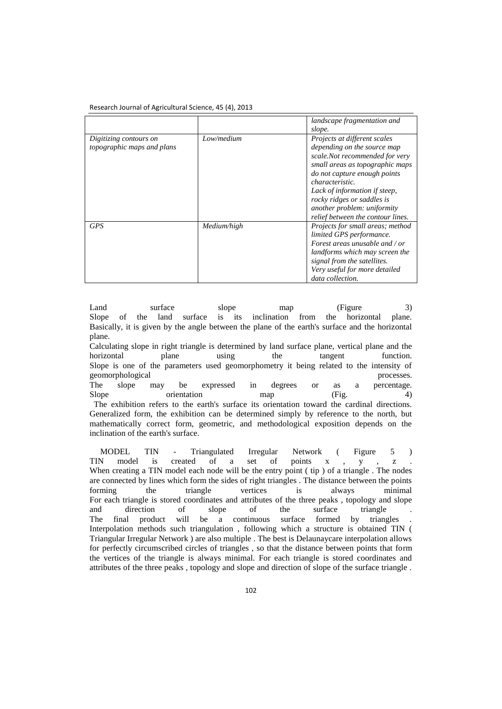|                                                      |             | landscape fragmentation and<br>slope.                                                                                                                                                                                                                                                                                         |
|------------------------------------------------------|-------------|-------------------------------------------------------------------------------------------------------------------------------------------------------------------------------------------------------------------------------------------------------------------------------------------------------------------------------|
| Digitizing contours on<br>topographic maps and plans | Low/medium  | Projects at different scales<br>depending on the source map<br>scale.Not recommended for very<br>small areas as topographic maps<br>do not capture enough points<br><i>characteristic.</i><br>Lack of information if steep,<br>rocky ridges or saddles is<br>another problem: uniformity<br>relief between the contour lines. |
| <b>GPS</b>                                           | Medium/high | Projects for small areas; method<br>limited GPS performance.<br>Forest areas unusable and / or<br>landforms which may screen the<br>signal from the satellites.<br>Very useful for more detailed<br>data collection.                                                                                                          |

Land surface slope map (Figure 3) Slope of the land surface is its inclination from the horizontal plane. Basically, it is given by the angle between the plane of the earth's surface and the horizontal plane.

Calculating slope in right triangle is determined by land surface plane, vertical plane and the horizontal plane using the tangent function. Slope is one of the parameters used geomorphometry it being related to the intensity of geomorphological processes. The slope may be expressed in degrees or as a percentage. Slope orientation map (Fig. 4) The exhibition refers to the earth's surface its orientation toward the cardinal directions. Generalized form, the exhibition can be determined simply by reference to the north, but mathematically correct form, geometric, and methodological exposition depends on the inclination of the earth's surface.

 MODEL TIN - Triangulated Irregular Network ( Figure 5 ) TIN model is created of a set of points x , y , z . When creating a TIN model each node will be the entry point ( tip ) of a triangle. The nodes are connected by lines which form the sides of right triangles . The distance between the points forming the triangle vertices is always minimal For each triangle is stored coordinates and attributes of the three peaks , topology and slope and direction of slope of the surface triangle . The final product will be a continuous surface formed by triangles Interpolation methods such triangulation , following which a structure is obtained TIN ( Triangular Irregular Network ) are also multiple . The best is Delaunaycare interpolation allows for perfectly circumscribed circles of triangles , so that the distance between points that form the vertices of the triangle is always minimal. For each triangle is stored coordinates and attributes of the three peaks , topology and slope and direction of slope of the surface triangle .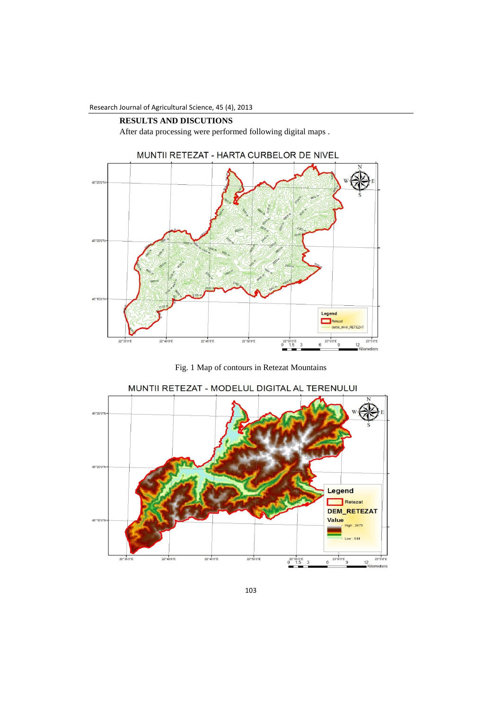### **RESULTS AND DISCUTIONS**

After data processing were performed following digital maps .



Fig. 1 Map of contours in Retezat Mountains





103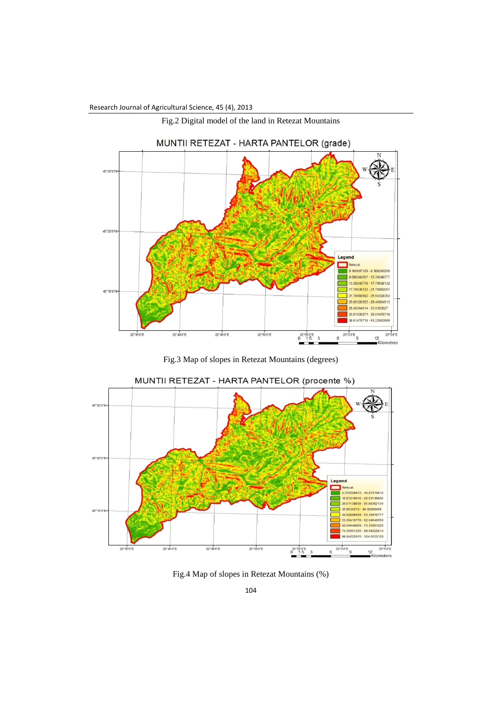



Fig.3 Map of slopes in Retezat Mountains (degrees)



MUNTII RETEZAT - HARTA PANTELOR (procente %)

Fig.4 Map of slopes in Retezat Mountains (%)